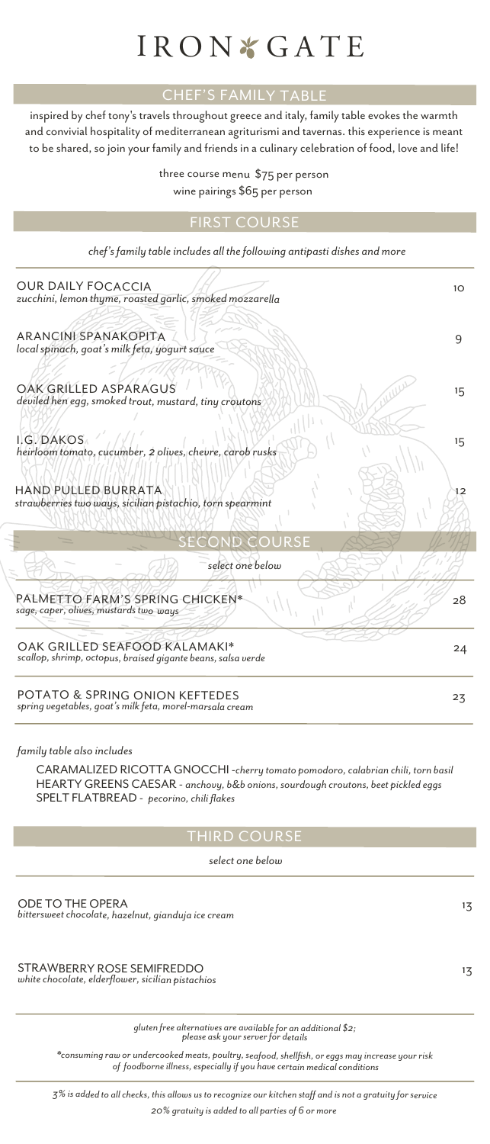# IRON & GATE

## CHEF'S FAMILY TABLE

inspired by chef tony's travels throughout greece and italy, family table evokes the warmth and convivial hospitality of mediterranean agriturismi and tavernas. this experience is meant to be shared, so join your family and friends in a culinary celebration of food, love and life!

> three course menu \$75 per person wine pairings \$65 per person

### FIRST COURSE

*chef's family table includes all the following antipasti dishes and more*

| <b>OUR DAILY FOCACCIA</b><br>zucchini, lemon thyme, roasted garlic, smoked mozzarella         | 10 <sup>2</sup> |
|-----------------------------------------------------------------------------------------------|-----------------|
| <b>ARANCINI SPANAKOPITA</b><br>local spinach, goat's milk feta, yogurt sauce                  | 9               |
| OAK GRILLED ASPARAGUS<br>deviled hen egg, smoked trout, mustard, tiny croutons                | $15 -$          |
| I.G. DAKOS<br>heirloom tomato, cucumber, 2 olives, chevre, carob rusks                        | 15              |
| HAND PULLED BURRATA<br>strawberries two ways, sicilian pistachio, torn spearmint              | 12              |
| <b>SECOND COURSE</b>                                                                          |                 |
| select one below                                                                              |                 |
| PALMETTO FARM'S SPRING CHICKEN*<br>sage, caper, olives, mustards two ways                     | 28              |
| OAK GRILLED SEAFOOD KALAMAKI*<br>scallop, shrimp, octopus, braised gigante beans, salsa verde | 24              |
| POTATO & SPRING ONION KEFTEDES<br>spring vegetables, goat's milk feta, morel-marsala cream    | 23              |

#### *family table also includes*

CARAMALIZED RICOTTA GNOCCHI -*cherry tomato pomodoro, calabrian chili, torn basil* HEARTY GREENS CAESAR - *anchovy, b&b onions, sourdough croutons, beet pickled eggs* SPELT FLATBREAD - *pecorino, chili flakes* 

#### THIRD COURSE

 *select one below*

ODE TO THE OPERA 13 *bittersweet chocolate, hazelnut, gianduja ice cream*

STRAWBERRY ROSE SEMIFREDDO 13 *white chocolate, elderflower, sicilian pistachios*

*<sup>g</sup>luten free alternatives are available for an additional \$2; please ask your server for details*

*\*consuming raw or undercooked meats, poultry, seafood, shellfish, or eggs may increase your risk of foodborne illness, especially if you have certain medical conditions*

*3% is added to all checks, this allows us to recognize our kitchen staff and is not a gratuity for service 20% gratuity is added to all parties of 6 or more*